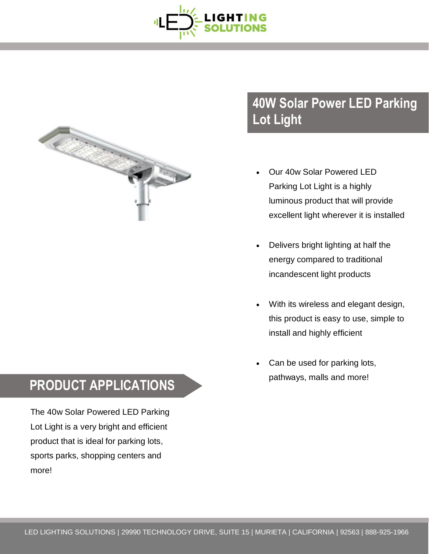



## **40W Solar Power LED Parking Lot Light**

- Our 40w Solar Powered LED Parking Lot Light is a highly luminous product that will provide excellent light wherever it is installed
- Delivers bright lighting at half the energy compared to traditional incandescent light products
- With its wireless and elegant design, this product is easy to use, simple to install and highly efficient
- Can be used for parking lots, pathways, malls and more!

## **PRODUCT APPLICATIONS**

The 40w Solar Powered LED Parking Lot Light is a very bright and efficient product that is ideal for parking lots, sports parks, shopping centers and more!